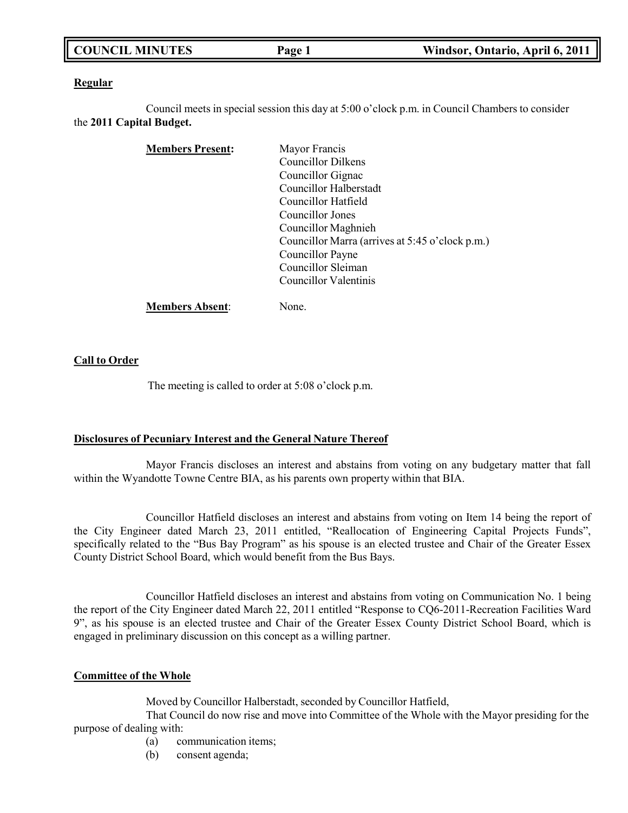| <b>COUNCIL MINUTES</b> | Page 1 | Windsor, Ontario, April 6, 2011 |
|------------------------|--------|---------------------------------|
|                        |        |                                 |

### **Regular**

Council meets in special session this day at 5:00 o'clock p.m. in Council Chambers to consider the **2011 Capital Budget.**

| <b>Members Present:</b> | Mayor Francis                                   |
|-------------------------|-------------------------------------------------|
|                         | Councillor Dilkens                              |
|                         | Councillor Gignac                               |
|                         | Councillor Halberstadt                          |
|                         | Councillor Hatfield                             |
|                         | Councillor Jones                                |
|                         | Councillor Maghnieh                             |
|                         | Councillor Marra (arrives at 5:45 o'clock p.m.) |
|                         | Councillor Payne                                |
|                         | Councillor Sleiman                              |
|                         | Councillor Valentinis                           |
| <b>Members Absent:</b>  | None.                                           |

### **Call to Order**

The meeting is called to order at 5:08 o'clock p.m.

### **Disclosures of Pecuniary Interest and the General Nature Thereof**

Mayor Francis discloses an interest and abstains from voting on any budgetary matter that fall within the Wyandotte Towne Centre BIA, as his parents own property within that BIA.

Councillor Hatfield discloses an interest and abstains from voting on Item 14 being the report of the City Engineer dated March 23, 2011 entitled, "Reallocation of Engineering Capital Projects Funds", specifically related to the "Bus Bay Program" as his spouse is an elected trustee and Chair of the Greater Essex County District School Board, which would benefit from the Bus Bays.

Councillor Hatfield discloses an interest and abstains from voting on Communication No. 1 being the report of the City Engineer dated March 22, 2011 entitled "Response to CQ6-2011-Recreation Facilities Ward 9", as his spouse is an elected trustee and Chair of the Greater Essex County District School Board, which is engaged in preliminary discussion on this concept as a willing partner.

### **Committee of the Whole**

Moved by Councillor Halberstadt, seconded by Councillor Hatfield,

That Council do now rise and move into Committee of the Whole with the Mayor presiding for the purpose of dealing with:

- (a) communication items;
- (b) consent agenda;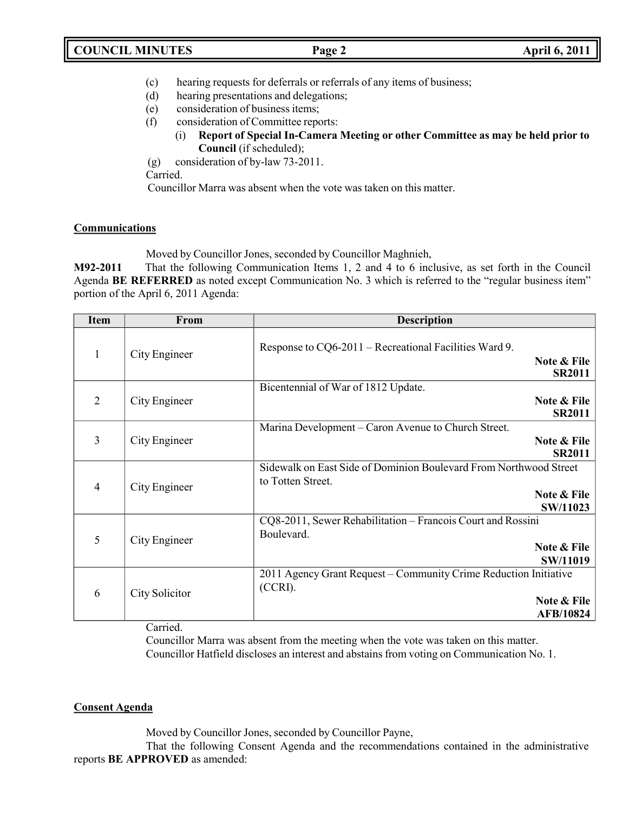- (c) hearing requests for deferrals or referrals of any items of business;
- (d) hearing presentations and delegations;
- (e) consideration of business items;
- (f) consideration of Committee reports:
	- (i) **Report of Special In-Camera Meeting or other Committee as may be held prior to Council** (if scheduled);
- (g) consideration of by-law 73-2011.

Carried.

Councillor Marra was absent when the vote was taken on this matter.

# **Communications**

Moved by Councillor Jones, seconded by Councillor Maghnieh,

**M92-2011** That the following Communication Items 1, 2 and 4 to 6 inclusive, as set forth in the Council Agenda **BE REFERRED** as noted except Communication No. 3 which is referred to the "regular business item" portion of the April 6, 2011 Agenda:

| <b>Item</b>    | From                  | <b>Description</b>                                                                                                |
|----------------|-----------------------|-------------------------------------------------------------------------------------------------------------------|
| $\mathbf{1}$   | City Engineer         | Response to CQ6-2011 – Recreational Facilities Ward 9.<br>Note & File<br><b>SR2011</b>                            |
| $\overline{2}$ | City Engineer         | Bicentennial of War of 1812 Update.<br>Note & File<br><b>SR2011</b>                                               |
| 3              | City Engineer         | Marina Development – Caron Avenue to Church Street.<br>Note & File<br><b>SR2011</b>                               |
| $\overline{4}$ | City Engineer         | Sidewalk on East Side of Dominion Boulevard From Northwood Street<br>to Totten Street.<br>Note & File<br>SW/11023 |
| 5              | City Engineer         | CQ8-2011, Sewer Rehabilitation - Francois Court and Rossini<br>Boulevard.<br>Note & File<br>SW/11019              |
| 6              | City Solicitor<br>- - | 2011 Agency Grant Request – Community Crime Reduction Initiative<br>$(CCRI)$ .<br>Note & File<br><b>AFB/10824</b> |

Carried.

Councillor Marra was absent from the meeting when the vote was taken on this matter. Councillor Hatfield discloses an interest and abstains from voting on Communication No. 1.

# **Consent Agenda**

Moved by Councillor Jones, seconded by Councillor Payne,

That the following Consent Agenda and the recommendations contained in the administrative reports **BE APPROVED** as amended: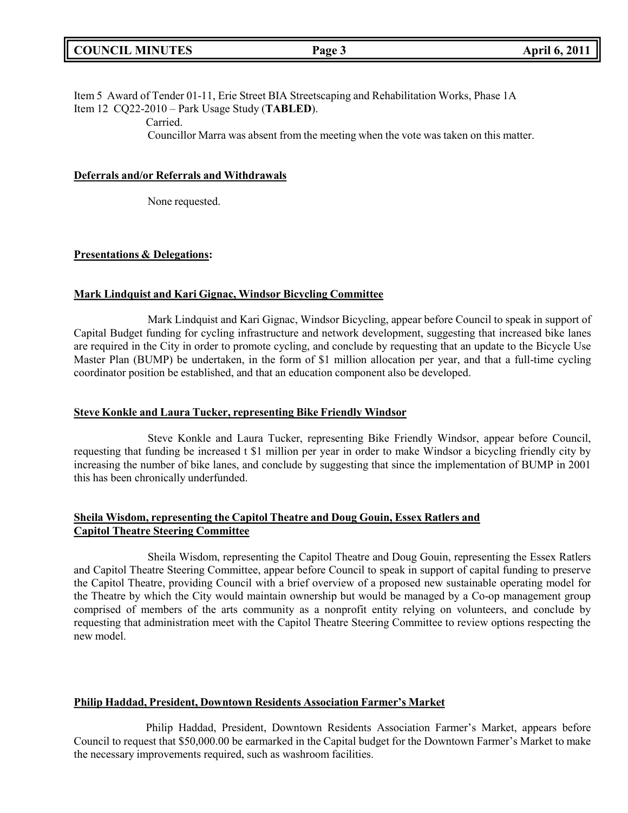Item 5 Award of Tender 01-11, Erie Street BIA Streetscaping and Rehabilitation Works, Phase 1A Item 12 CQ22-2010 – Park Usage Study (**TABLED**).

Carried.

Councillor Marra was absent from the meeting when the vote was taken on this matter.

### **Deferrals and/or Referrals and Withdrawals**

None requested.

# **Presentations & Delegations:**

# **Mark Lindquist and Kari Gignac, Windsor Bicycling Committee**

Mark Lindquist and Kari Gignac, Windsor Bicycling, appear before Council to speak in support of Capital Budget funding for cycling infrastructure and network development, suggesting that increased bike lanes are required in the City in order to promote cycling, and conclude by requesting that an update to the Bicycle Use Master Plan (BUMP) be undertaken, in the form of \$1 million allocation per year, and that a full-time cycling coordinator position be established, and that an education component also be developed.

### **Steve Konkle and Laura Tucker, representing Bike Friendly Windsor**

Steve Konkle and Laura Tucker, representing Bike Friendly Windsor, appear before Council, requesting that funding be increased t \$1 million per year in order to make Windsor a bicycling friendly city by increasing the number of bike lanes, and conclude by suggesting that since the implementation of BUMP in 2001 this has been chronically underfunded.

# **Sheila Wisdom, representing the Capitol Theatre and Doug Gouin, Essex Ratlers and Capitol Theatre Steering Committee**

Sheila Wisdom, representing the Capitol Theatre and Doug Gouin, representing the Essex Ratlers and Capitol Theatre Steering Committee, appear before Council to speak in support of capital funding to preserve the Capitol Theatre, providing Council with a brief overview of a proposed new sustainable operating model for the Theatre by which the City would maintain ownership but would be managed by a Co-op management group comprised of members of the arts community as a nonprofit entity relying on volunteers, and conclude by requesting that administration meet with the Capitol Theatre Steering Committee to review options respecting the new model.

### **Philip Haddad, President, Downtown Residents Association Farmer's Market**

Philip Haddad, President, Downtown Residents Association Farmer's Market, appears before Council to request that \$50,000.00 be earmarked in the Capital budget for the Downtown Farmer's Market to make the necessary improvements required, such as washroom facilities.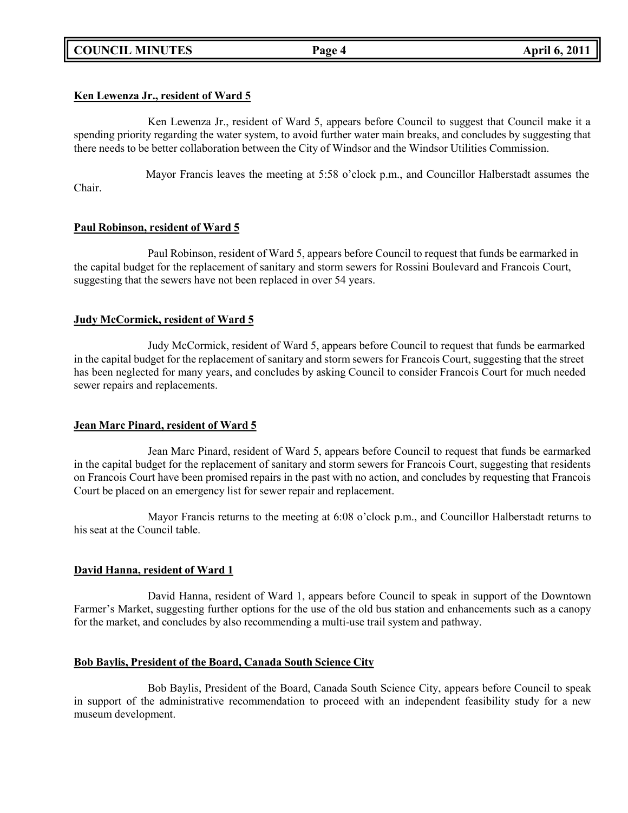# **COUNCIL MINUTES Page 4 April 6, 2011**

# **Ken Lewenza Jr., resident of Ward 5**

Ken Lewenza Jr., resident of Ward 5, appears before Council to suggest that Council make it a spending priority regarding the water system, to avoid further water main breaks, and concludes by suggesting that there needs to be better collaboration between the City of Windsor and the Windsor Utilities Commission.

Mayor Francis leaves the meeting at 5:58 o'clock p.m., and Councillor Halberstadt assumes the Chair.

# **Paul Robinson, resident of Ward 5**

Paul Robinson, resident of Ward 5, appears before Council to request that funds be earmarked in the capital budget for the replacement of sanitary and storm sewers for Rossini Boulevard and Francois Court, suggesting that the sewers have not been replaced in over 54 years.

# **Judy McCormick, resident of Ward 5**

Judy McCormick, resident of Ward 5, appears before Council to request that funds be earmarked in the capital budget for the replacement of sanitary and storm sewers for Francois Court, suggesting that the street has been neglected for many years, and concludes by asking Council to consider Francois Court for much needed sewer repairs and replacements.

# **Jean Marc Pinard, resident of Ward 5**

Jean Marc Pinard, resident of Ward 5, appears before Council to request that funds be earmarked in the capital budget for the replacement of sanitary and storm sewers for Francois Court, suggesting that residents on Francois Court have been promised repairs in the past with no action, and concludes by requesting that Francois Court be placed on an emergency list for sewer repair and replacement.

Mayor Francis returns to the meeting at 6:08 o'clock p.m., and Councillor Halberstadt returns to his seat at the Council table.

### **David Hanna, resident of Ward 1**

David Hanna, resident of Ward 1, appears before Council to speak in support of the Downtown Farmer's Market, suggesting further options for the use of the old bus station and enhancements such as a canopy for the market, and concludes by also recommending a multi-use trail system and pathway.

### **Bob Baylis, President of the Board, Canada South Science City**

Bob Baylis, President of the Board, Canada South Science City, appears before Council to speak in support of the administrative recommendation to proceed with an independent feasibility study for a new museum development.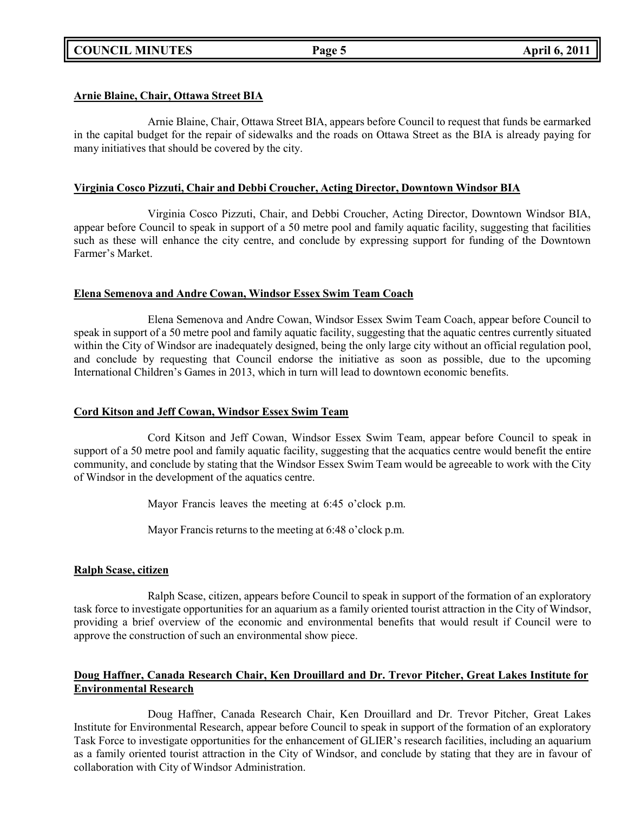# **COUNCIL MINUTES Page 5 April 6, 2011**

# **Arnie Blaine, Chair, Ottawa Street BIA**

Arnie Blaine, Chair, Ottawa Street BIA, appears before Council to request that funds be earmarked in the capital budget for the repair of sidewalks and the roads on Ottawa Street as the BIA is already paying for many initiatives that should be covered by the city.

### **Virginia Cosco Pizzuti, Chair and Debbi Croucher, Acting Director, Downtown Windsor BIA**

Virginia Cosco Pizzuti, Chair, and Debbi Croucher, Acting Director, Downtown Windsor BIA, appear before Council to speak in support of a 50 metre pool and family aquatic facility, suggesting that facilities such as these will enhance the city centre, and conclude by expressing support for funding of the Downtown Farmer's Market.

# **Elena Semenova and Andre Cowan, Windsor Essex Swim Team Coach**

Elena Semenova and Andre Cowan, Windsor Essex Swim Team Coach, appear before Council to speak in support of a 50 metre pool and family aquatic facility, suggesting that the aquatic centres currently situated within the City of Windsor are inadequately designed, being the only large city without an official regulation pool, and conclude by requesting that Council endorse the initiative as soon as possible, due to the upcoming International Children's Games in 2013, which in turn will lead to downtown economic benefits.

# **Cord Kitson and Jeff Cowan, Windsor Essex Swim Team**

Cord Kitson and Jeff Cowan, Windsor Essex Swim Team, appear before Council to speak in support of a 50 metre pool and family aquatic facility, suggesting that the acquatics centre would benefit the entire community, and conclude by stating that the Windsor Essex Swim Team would be agreeable to work with the City of Windsor in the development of the aquatics centre.

Mayor Francis leaves the meeting at 6:45 o'clock p.m.

Mayor Francis returns to the meeting at 6:48 o'clock p.m.

### **Ralph Scase, citizen**

Ralph Scase, citizen, appears before Council to speak in support of the formation of an exploratory task force to investigate opportunities for an aquarium as a family oriented tourist attraction in the City of Windsor, providing a brief overview of the economic and environmental benefits that would result if Council were to approve the construction of such an environmental show piece.

# **Doug Haffner, Canada Research Chair, Ken Drouillard and Dr. Trevor Pitcher, Great Lakes Institute for Environmental Research**

Doug Haffner, Canada Research Chair, Ken Drouillard and Dr. Trevor Pitcher, Great Lakes Institute for Environmental Research, appear before Council to speak in support of the formation of an exploratory Task Force to investigate opportunities for the enhancement of GLIER's research facilities, including an aquarium as a family oriented tourist attraction in the City of Windsor, and conclude by stating that they are in favour of collaboration with City of Windsor Administration.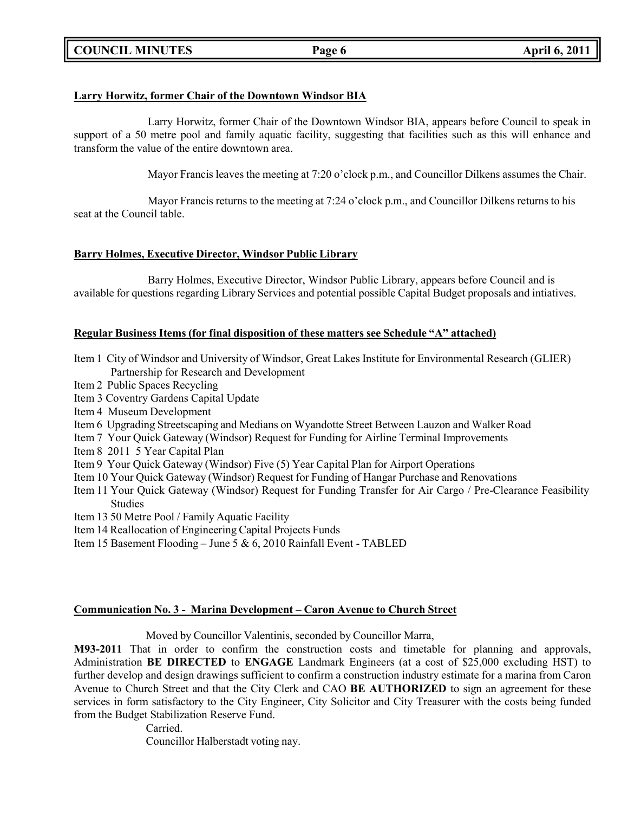# **COUNCIL MINUTES Page 6 April 6, 2011**

# **Larry Horwitz, former Chair of the Downtown Windsor BIA**

Larry Horwitz, former Chair of the Downtown Windsor BIA, appears before Council to speak in support of a 50 metre pool and family aquatic facility, suggesting that facilities such as this will enhance and transform the value of the entire downtown area.

Mayor Francis leaves the meeting at 7:20 o'clock p.m., and Councillor Dilkens assumes the Chair.

Mayor Francis returns to the meeting at 7:24 o'clock p.m., and Councillor Dilkens returns to his seat at the Council table.

# **Barry Holmes, Executive Director, Windsor Public Library**

Barry Holmes, Executive Director, Windsor Public Library, appears before Council and is available for questions regarding Library Services and potential possible Capital Budget proposals and intiatives.

# **Regular Business Items (for final disposition of these matters see Schedule "A" attached)**

- Item 1 City of Windsor and University of Windsor, Great Lakes Institute for Environmental Research (GLIER) Partnership for Research and Development
- Item 2 Public Spaces Recycling
- Item 3 Coventry Gardens Capital Update
- Item 4 Museum Development
- Item 6 Upgrading Streetscaping and Medians on Wyandotte Street Between Lauzon and Walker Road
- Item 7 Your Quick Gateway (Windsor) Request for Funding for Airline Terminal Improvements
- Item 8 2011 5 Year Capital Plan
- Item 9 Your Quick Gateway (Windsor) Five (5) Year Capital Plan for Airport Operations
- Item 10 Your Quick Gateway (Windsor) Request for Funding of Hangar Purchase and Renovations
- Item 11 Your Quick Gateway (Windsor) Request for Funding Transfer for Air Cargo / Pre-Clearance Feasibility Studies
- Item 13 50 Metre Pool / Family Aquatic Facility
- Item 14 Reallocation of Engineering Capital Projects Funds
- Item 15 Basement Flooding June 5 & 6, 2010 Rainfall Event TABLED

### **Communication No. 3 - Marina Development – Caron Avenue to Church Street**

Moved by Councillor Valentinis, seconded by Councillor Marra,

**M93-2011** That in order to confirm the construction costs and timetable for planning and approvals, Administration **BE DIRECTED** to **ENGAGE** Landmark Engineers (at a cost of \$25,000 excluding HST) to further develop and design drawings sufficient to confirm a construction industry estimate for a marina from Caron Avenue to Church Street and that the City Clerk and CAO **BE AUTHORIZED** to sign an agreement for these services in form satisfactory to the City Engineer, City Solicitor and City Treasurer with the costs being funded from the Budget Stabilization Reserve Fund.

> Carried. Councillor Halberstadt voting nay.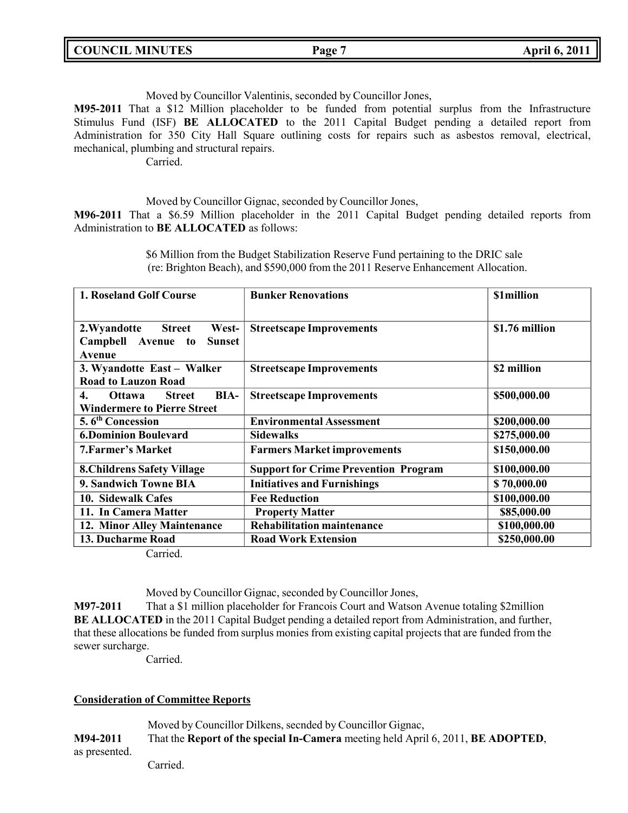| <b>COUNCIL MINUTES</b> | <b>Page</b> | <b>April 6, 2011</b> |
|------------------------|-------------|----------------------|
|                        |             |                      |

Moved by Councillor Valentinis, seconded by Councillor Jones,

**M95-2011** That a \$12 Million placeholder to be funded from potential surplus from the Infrastructure Stimulus Fund (ISF) **BE ALLOCATED** to the 2011 Capital Budget pending a detailed report from Administration for 350 City Hall Square outlining costs for repairs such as asbestos removal, electrical, mechanical, plumbing and structural repairs.

Carried.

Moved by Councillor Gignac, seconded by Councillor Jones,

**M96-2011** That a \$6.59 Million placeholder in the 2011 Capital Budget pending detailed reports from Administration to **BE ALLOCATED** as follows:

> \$6 Million from the Budget Stabilization Reserve Fund pertaining to the DRIC sale (re: Brighton Beach), and \$590,000 from the 2011 Reserve Enhancement Allocation.

| <b>1. Roseland Golf Course</b>                                                                                   | <b>Bunker Renovations</b>                   | \$1million     |
|------------------------------------------------------------------------------------------------------------------|---------------------------------------------|----------------|
| <b>Street</b><br>West-<br>2. Wyandotte<br>Campbell Avenue to<br><b>Sunset</b><br>Avenue                          | <b>Streetscape Improvements</b>             | \$1.76 million |
| 3. Wyandotte East - Walker                                                                                       | <b>Streetscape Improvements</b>             | \$2 million    |
| <b>Road to Lauzon Road</b><br>BIA-<br>4.<br><b>Ottawa</b><br><b>Street</b><br><b>Windermere to Pierre Street</b> | <b>Streetscape Improvements</b>             | \$500,000.00   |
| 5.6 <sup>th</sup> Concession                                                                                     | <b>Environmental Assessment</b>             | \$200,000.00   |
| <b>6.Dominion Boulevard</b>                                                                                      | <b>Sidewalks</b>                            | \$275,000.00   |
| <b>7. Farmer's Market</b>                                                                                        | <b>Farmers Market improvements</b>          | \$150,000.00   |
| <b>8. Childrens Safety Village</b>                                                                               | <b>Support for Crime Prevention Program</b> | \$100,000.00   |
| 9. Sandwich Towne BIA                                                                                            | <b>Initiatives and Furnishings</b>          | \$70,000.00    |
| 10. Sidewalk Cafes                                                                                               | <b>Fee Reduction</b>                        | \$100,000.00   |
| 11. In Camera Matter                                                                                             | <b>Property Matter</b>                      | \$85,000.00    |
| 12. Minor Alley Maintenance                                                                                      | <b>Rehabilitation maintenance</b>           | \$100,000.00   |
| 13. Ducharme Road                                                                                                | <b>Road Work Extension</b>                  | \$250,000.00   |

Carried.

Moved by Councillor Gignac, seconded by Councillor Jones,

**M97-2011** That a \$1 million placeholder for Francois Court and Watson Avenue totaling \$2million **BE ALLOCATED** in the 2011 Capital Budget pending a detailed report from Administration, and further, that these allocations be funded from surplus monies from existing capital projects that are funded from the sewer surcharge.

Carried.

### **Consideration of Committee Reports**

Moved by Councillor Dilkens, secnded by Councillor Gignac, **M94-2011** That the **Report of the special In-Camera** meeting held April 6, 2011, **BE ADOPTED**, as presented.

Carried.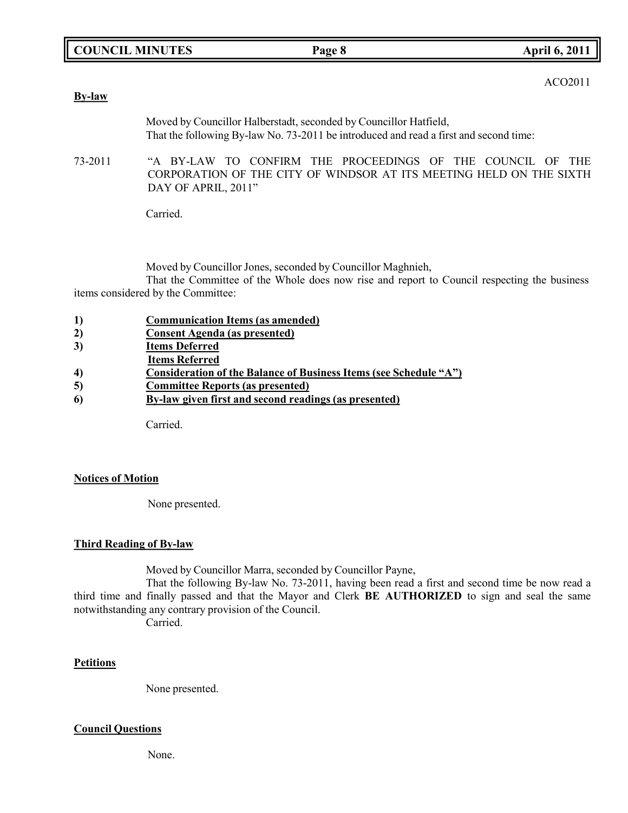| ACO2011 |
|---------|
|---------|

| <b>By-law</b> | 11002011                                                                                                                                                   |
|---------------|------------------------------------------------------------------------------------------------------------------------------------------------------------|
|               | Moved by Councillor Halberstadt, seconded by Councillor Hatfield,<br>That the following By-law No. 73-2011 be introduced and read a first and second time: |
| 73-2011       | "A BY-LAW TO CONFIRM THE PROCEEDINGS OF THE COUNCIL OF THE<br>CORPORATION OF THE CITY OF WINDSOR AT ITS MEETING HELD ON THE SIXTH<br>DAY OF APRIL, 2011"   |
|               | Carried.                                                                                                                                                   |
|               |                                                                                                                                                            |

Moved by Councillor Jones, seconded by Councillor Maghnieh,

That the Committee of the Whole does now rise and report to Council respecting the business items considered by the Committee:

| 1) | <b>Communication Items (as amended)</b>                           |
|----|-------------------------------------------------------------------|
| 2) | <b>Consent Agenda (as presented)</b>                              |
| 3) | <b>Items Deferred</b>                                             |
|    | <b>Items Referred</b>                                             |
| 4) | Consideration of the Balance of Business Items (see Schedule "A") |
| 5) | <b>Committee Reports (as presented)</b>                           |
| 6  | By-law given first and second readings (as presented)             |
|    |                                                                   |
|    | $\sim$ $\sim$ 1                                                   |

Carried.

# **Notices of Motion**

None presented.

# **Third Reading of By-law**

Moved by Councillor Marra, seconded by Councillor Payne,

That the following By-law No. 73-2011, having been read a first and second time be now read a third time and finally passed and that the Mayor and Clerk **BE AUTHORIZED** to sign and seal the same notwithstanding any contrary provision of the Council.

Carried.

# **Petitions**

None presented.

# **Council Questions**

None.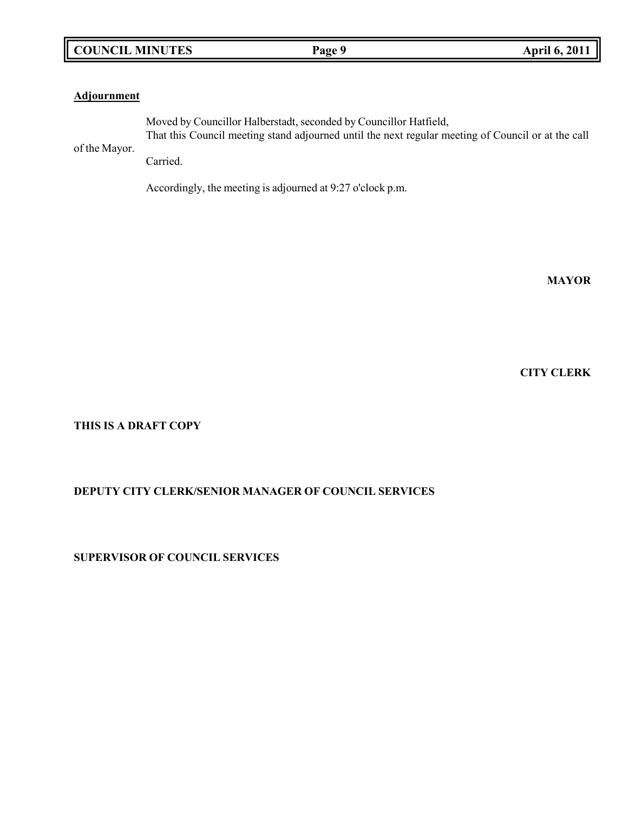# **COUNCIL MINUTES Page 9 April 6, 2011**

### **Adjournment**

Moved by Councillor Halberstadt, seconded by Councillor Hatfield, That this Council meeting stand adjourned until the next regular meeting of Council or at the call

of the Mayor.

Carried.

Accordingly, the meeting is adjourned at 9:27 o'clock p.m.

**MAYOR**

**CITY CLERK**

**THIS IS A DRAFT COPY**

# **DEPUTY CITY CLERK/SENIOR MANAGER OF COUNCIL SERVICES**

**SUPERVISOR OF COUNCIL SERVICES**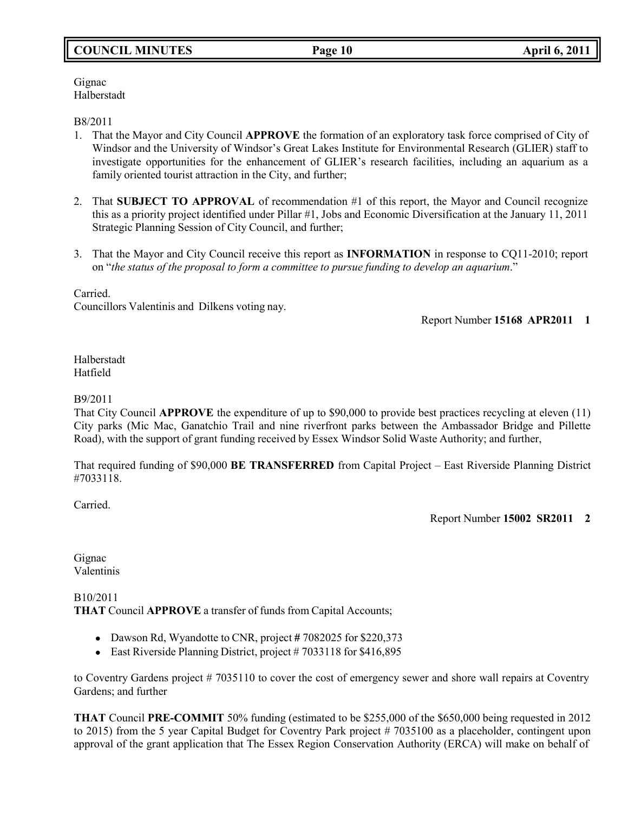# **COUNCIL MINUTES Page 10 April 6, 2011**

Gignac Halberstadt

B8/2011

- 1. That the Mayor and City Council **APPROVE** the formation of an exploratory task force comprised of City of Windsor and the University of Windsor's Great Lakes Institute for Environmental Research (GLIER) staff to investigate opportunities for the enhancement of GLIER's research facilities, including an aquarium as a family oriented tourist attraction in the City, and further;
- 2. That **SUBJECT TO APPROVAL** of recommendation #1 of this report, the Mayor and Council recognize this as a priority project identified under Pillar #1, Jobs and Economic Diversification at the January 11, 2011 Strategic Planning Session of City Council, and further;
- 3. That the Mayor and City Council receive this report as **INFORMATION** in response to CQ11-2010; report on "*the status of the proposal to form a committee to pursue funding to develop an aquarium*."

Carried.

Councillors Valentinis and Dilkens voting nay.

Report Number **15168 APR2011 1**

Halberstadt Hatfield

### B9/2011

That City Council **APPROVE** the expenditure of up to \$90,000 to provide best practices recycling at eleven (11) City parks (Mic Mac, Ganatchio Trail and nine riverfront parks between the Ambassador Bridge and Pillette Road), with the support of grant funding received by Essex Windsor Solid Waste Authority; and further,

That required funding of \$90,000 **BE TRANSFERRED** from Capital Project – East Riverside Planning District #7033118.

Carried.

Report Number **15002 SR2011 2**

Gignac Valentinis

B10/2011 **THAT** Council **APPROVE** a transfer of funds from Capital Accounts;

- Dawson Rd, Wyandotte to CNR, project **#** 7082025 for \$220,373
- East Riverside Planning District, project # 7033118 for \$416,895

to Coventry Gardens project # 7035110 to cover the cost of emergency sewer and shore wall repairs at Coventry Gardens; and further

**THAT** Council **PRE-COMMIT** 50% funding (estimated to be \$255,000 of the \$650,000 being requested in 2012 to 2015) from the 5 year Capital Budget for Coventry Park project # 7035100 as a placeholder, contingent upon approval of the grant application that The Essex Region Conservation Authority (ERCA) will make on behalf of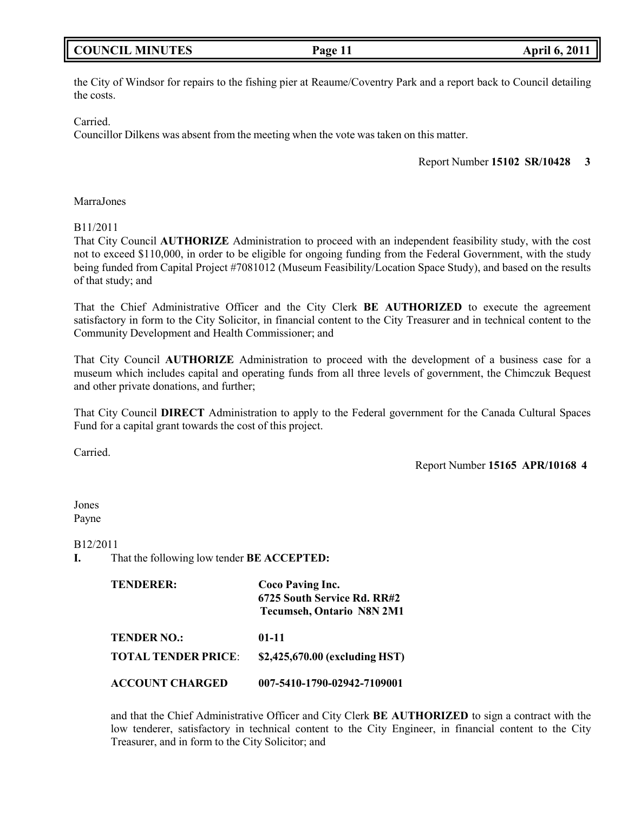# **COUNCIL MINUTES Page 11 April 6, 2011**

the City of Windsor for repairs to the fishing pier at Reaume/Coventry Park and a report back to Council detailing the costs.

Carried.

Councillor Dilkens was absent from the meeting when the vote was taken on this matter.

Report Number **15102 SR/10428 3**

MarraJones

B11/2011

That City Council **AUTHORIZE** Administration to proceed with an independent feasibility study, with the cost not to exceed \$110,000, in order to be eligible for ongoing funding from the Federal Government, with the study being funded from Capital Project #7081012 (Museum Feasibility/Location Space Study), and based on the results of that study; and

That the Chief Administrative Officer and the City Clerk **BE AUTHORIZED** to execute the agreement satisfactory in form to the City Solicitor, in financial content to the City Treasurer and in technical content to the Community Development and Health Commissioner; and

That City Council **AUTHORIZE** Administration to proceed with the development of a business case for a museum which includes capital and operating funds from all three levels of government, the Chimczuk Bequest and other private donations, and further;

That City Council **DIRECT** Administration to apply to the Federal government for the Canada Cultural Spaces Fund for a capital grant towards the cost of this project.

Carried.

Report Number **15165 APR/10168 4**

Jones Payne

B12/2011

**I.** That the following low tender **BE ACCEPTED:**

| <b>TENDERER:</b>           | Coco Paving Inc.<br>6725 South Service Rd. RR#2<br><b>Tecumseh, Ontario N8N 2M1</b> |  |
|----------------------------|-------------------------------------------------------------------------------------|--|
| <b>TENDER NO.:</b>         | $01 - 11$                                                                           |  |
| <b>TOTAL TENDER PRICE:</b> | \$2,425,670.00 (excluding HST)                                                      |  |
| <b>ACCOUNT CHARGED</b>     | 007-5410-1790-02942-7109001                                                         |  |

and that the Chief Administrative Officer and City Clerk **BE AUTHORIZED** to sign a contract with the low tenderer, satisfactory in technical content to the City Engineer, in financial content to the City Treasurer, and in form to the City Solicitor; and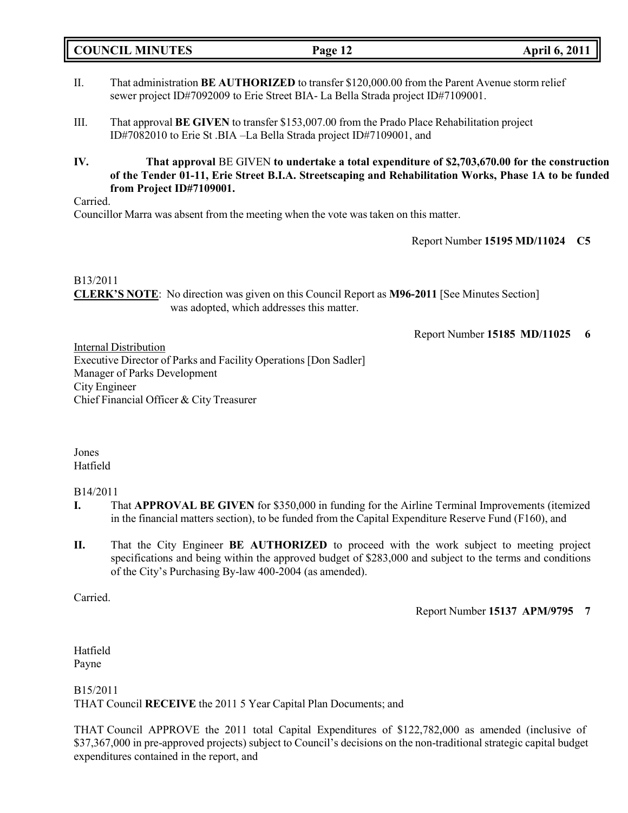**COUNCIL MINUTES Page 12 April 6, 2011**

- II. That administration **BE AUTHORIZED** to transfer \$120,000.00 from the Parent Avenue storm relief sewer project ID#7092009 to Erie Street BIA- La Bella Strada project ID#7109001.
- III. That approval **BE GIVEN** to transfer \$153,007.00 from the Prado Place Rehabilitation project ID#7082010 to Erie St .BIA –La Bella Strada project ID#7109001, and
- **IV. That approval** BE GIVEN **to undertake a total expenditure of \$2,703,670.00 for the construction of the Tender 01-11, Erie Street B.I.A. Streetscaping and Rehabilitation Works, Phase 1A to be funded from Project ID#7109001.**

Carried.

Councillor Marra was absent from the meeting when the vote was taken on this matter.

Report Number **15195 MD/11024 C5**

### B13/2011

**CLERK'S NOTE**: No direction was given on this Council Report as **M96-2011** [See Minutes Section] was adopted, which addresses this matter.

Report Number **15185 MD/11025 6**

Internal Distribution Executive Director of Parks and Facility Operations [Don Sadler] Manager of Parks Development City Engineer Chief Financial Officer & City Treasurer

Jones Hatfield

# B14/2011

- **I.** That **APPROVAL BE GIVEN** for \$350,000 in funding for the Airline Terminal Improvements (itemized in the financial matters section), to be funded from the Capital Expenditure Reserve Fund (F160), and
- **II.** That the City Engineer **BE AUTHORIZED** to proceed with the work subject to meeting project specifications and being within the approved budget of \$283,000 and subject to the terms and conditions of the City's Purchasing By-law 400-2004 (as amended).

Carried.

Report Number **15137 APM/9795 7**

Hatfield Payne

B15/2011 THAT Council **RECEIVE** the 2011 5 Year Capital Plan Documents; and

THAT Council APPROVE the 2011 total Capital Expenditures of \$122,782,000 as amended (inclusive of \$37,367,000 in pre-approved projects) subject to Council's decisions on the non-traditional strategic capital budget expenditures contained in the report, and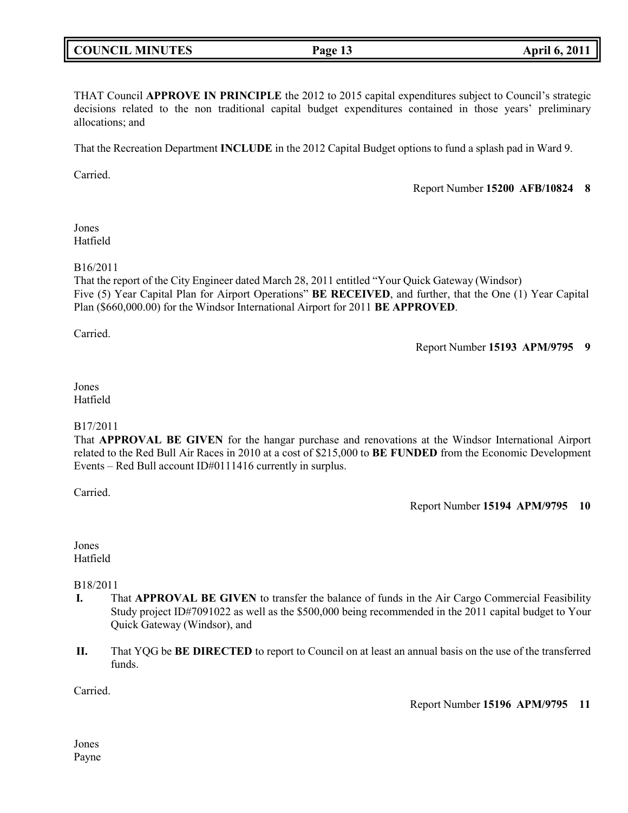# **COUNCIL MINUTES Page 13 April 6, 2011**

THAT Council **APPROVE IN PRINCIPLE** the 2012 to 2015 capital expenditures subject to Council's strategic decisions related to the non traditional capital budget expenditures contained in those years' preliminary allocations; and

That the Recreation Department **INCLUDE** in the 2012 Capital Budget options to fund a splash pad in Ward 9.

Carried.

Report Number **15200 AFB/10824 8**

### Jones Hatfield

# B16/2011

That the report of the City Engineer dated March 28, 2011 entitled "Your Quick Gateway (Windsor) Five (5) Year Capital Plan for Airport Operations" **BE RECEIVED**, and further, that the One (1) Year Capital Plan (\$660,000.00) for the Windsor International Airport for 2011 **BE APPROVED**.

Carried.

Report Number **15193 APM/9795 9**

# Jones Hatfield

### B17/2011

That **APPROVAL BE GIVEN** for the hangar purchase and renovations at the Windsor International Airport related to the Red Bull Air Races in 2010 at a cost of \$215,000 to **BE FUNDED** from the Economic Development Events – Red Bull account ID#0111416 currently in surplus.

Carried.

Report Number **15194 APM/9795 10**

Jones Hatfield

# B18/2011

- **I.** That **APPROVAL BE GIVEN** to transfer the balance of funds in the Air Cargo Commercial Feasibility Study project ID#7091022 as well as the \$500,000 being recommended in the 2011 capital budget to Your Quick Gateway (Windsor), and
- **II.** That YQG be **BE DIRECTED** to report to Council on at least an annual basis on the use of the transferred funds.

Carried.

Report Number **15196 APM/9795 11**

Jones Payne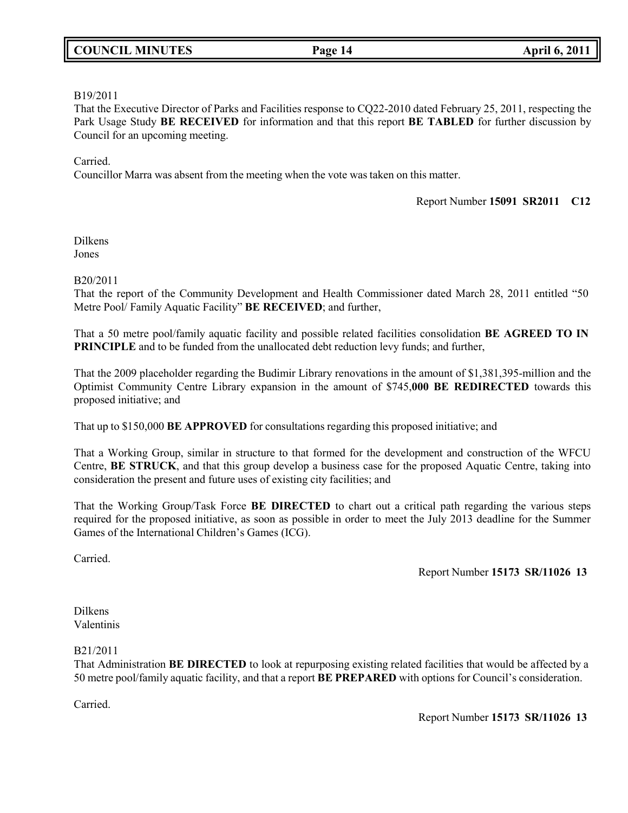# **COUNCIL MINUTES Page 14 April 6, 2011**

### B19/2011

That the Executive Director of Parks and Facilities response to CQ22-2010 dated February 25, 2011, respecting the Park Usage Study **BE RECEIVED** for information and that this report **BE TABLED** for further discussion by Council for an upcoming meeting.

### Carried.

Councillor Marra was absent from the meeting when the vote was taken on this matter.

### Report Number **15091 SR2011 C12**

Dilkens Jones

### B20/2011

That the report of the Community Development and Health Commissioner dated March 28, 2011 entitled "50 Metre Pool/ Family Aquatic Facility" **BE RECEIVED**; and further,

That a 50 metre pool/family aquatic facility and possible related facilities consolidation **BE AGREED TO IN PRINCIPLE** and to be funded from the unallocated debt reduction levy funds; and further,

That the 2009 placeholder regarding the Budimir Library renovations in the amount of \$1,381,395-million and the Optimist Community Centre Library expansion in the amount of \$745,**000 BE REDIRECTED** towards this proposed initiative; and

That up to \$150,000 **BE APPROVED** for consultations regarding this proposed initiative; and

That a Working Group, similar in structure to that formed for the development and construction of the WFCU Centre, **BE STRUCK**, and that this group develop a business case for the proposed Aquatic Centre, taking into consideration the present and future uses of existing city facilities; and

That the Working Group/Task Force **BE DIRECTED** to chart out a critical path regarding the various steps required for the proposed initiative, as soon as possible in order to meet the July 2013 deadline for the Summer Games of the International Children's Games (ICG).

Carried.

Report Number **15173 SR/11026 13**

Dilkens Valentinis

### B21/2011

That Administration **BE DIRECTED** to look at repurposing existing related facilities that would be affected by a 50 metre pool/family aquatic facility, and that a report **BE PREPARED** with options for Council's consideration.

Carried.

Report Number **15173 SR/11026 13**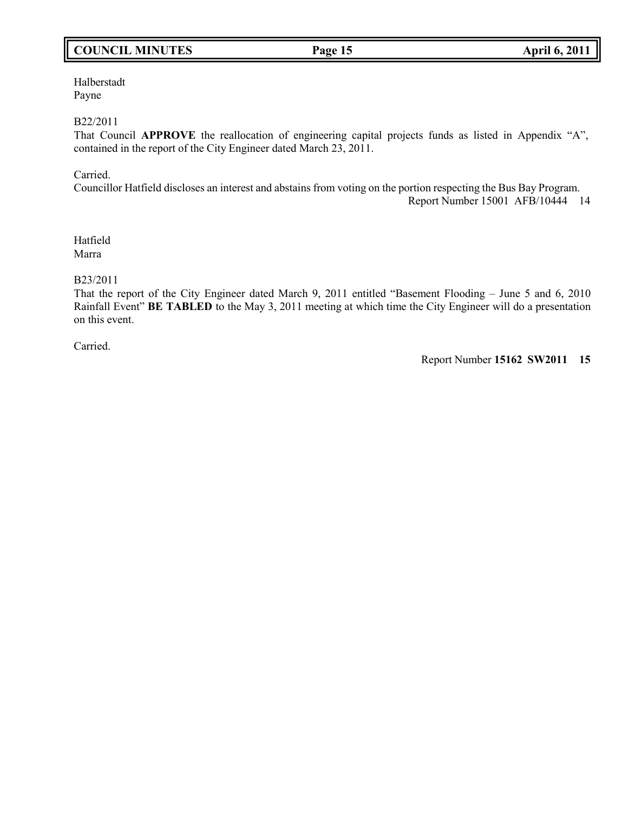# **COUNCIL MINUTES Page 15 April 6, 2011**

Halberstadt Payne

### B22/2011

That Council **APPROVE** the reallocation of engineering capital projects funds as listed in Appendix "A", contained in the report of the City Engineer dated March 23, 2011.

Carried.

Councillor Hatfield discloses an interest and abstains from voting on the portion respecting the Bus Bay Program.

Report Number 15001 AFB/10444 14

Hatfield Marra

### B23/2011

That the report of the City Engineer dated March 9, 2011 entitled "Basement Flooding – June 5 and 6, 2010 Rainfall Event" **BE TABLED** to the May 3, 2011 meeting at which time the City Engineer will do a presentation on this event.

Carried.

Report Number **15162 SW2011 15**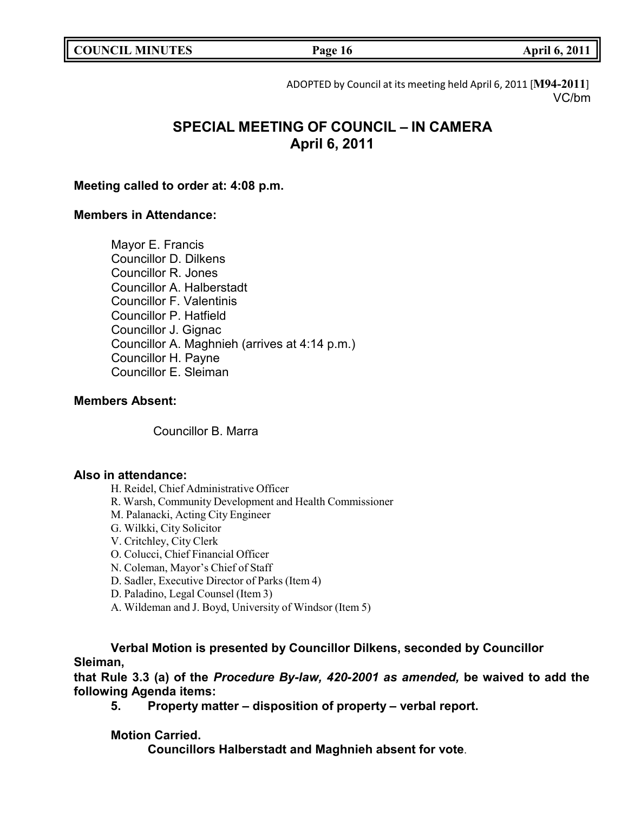|  | <b>COUNCIL MINUTES</b> |
|--|------------------------|
|--|------------------------|

**COUNCIL MINUTES Page 16 April 6, 2011**

ADOPTED by Council at its meeting held April 6, 2011 [**M94-2011**] VC/bm

# **SPECIAL MEETING OF COUNCIL – IN CAMERA April 6, 2011**

# **Meeting called to order at: 4:08 p.m.**

# **Members in Attendance:**

Mayor E. Francis Councillor D. Dilkens Councillor R. Jones Councillor A. Halberstadt Councillor F. Valentinis Councillor P. Hatfield Councillor J. Gignac Councillor A. Maghnieh (arrives at 4:14 p.m.) Councillor H. Payne Councillor E. Sleiman

# **Members Absent:**

Councillor B. Marra

# **Also in attendance:**

H. Reidel, Chief Administrative Officer

- R. Warsh, Community Development and Health Commissioner
- M. Palanacki, Acting City Engineer
- G. Wilkki, City Solicitor
- V. Critchley, City Clerk
- O. Colucci, Chief Financial Officer
- N. Coleman, Mayor's Chief of Staff
- D. Sadler, Executive Director of Parks (Item 4)
- D. Paladino, Legal Counsel (Item 3)
- A. Wildeman and J. Boyd, University of Windsor (Item 5)

**Verbal Motion is presented by Councillor Dilkens, seconded by Councillor Sleiman,**

**that Rule 3.3 (a) of the** *Procedure By-law, 420-2001 as amended,* **be waived to add the following Agenda items:**

**5. Property matter – disposition of property – verbal report.**

# **Motion Carried.**

**Councillors Halberstadt and Maghnieh absent for vote**.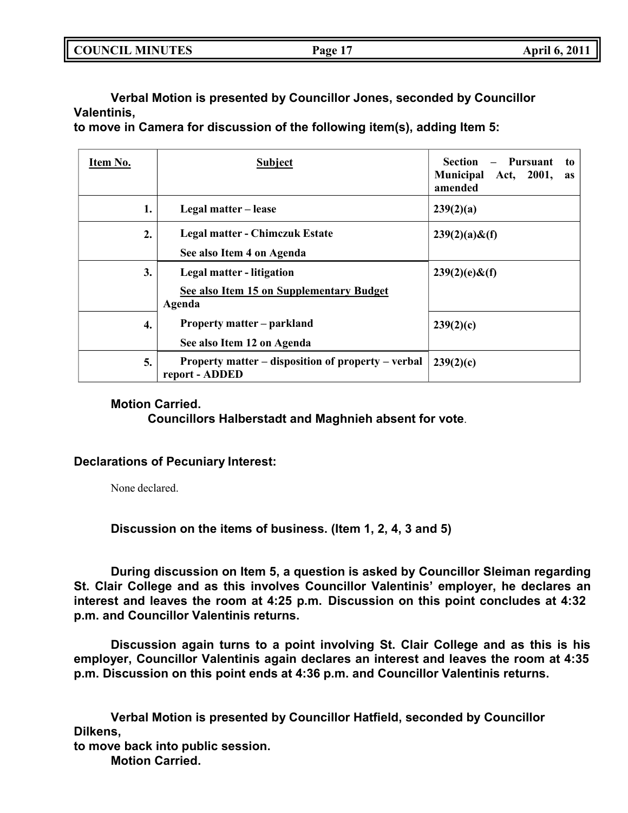| <b>COUNCIL MINUTES</b> | Page 17 | <b>April 6, 2011</b> |
|------------------------|---------|----------------------|
|                        |         |                      |

**Verbal Motion is presented by Councillor Jones, seconded by Councillor Valentinis,**

**to move in Camera for discussion of the following item(s), adding Item 5:**

| Item No. | <b>Subject</b>                                                                  | <b>Section</b><br>Pursuant<br>to<br><b>Municipal</b><br>Act, 2001,<br>as<br>amended |
|----------|---------------------------------------------------------------------------------|-------------------------------------------------------------------------------------|
| 1.       | Legal matter – lease                                                            | 239(2)(a)                                                                           |
| 2.       | <b>Legal matter - Chimczuk Estate</b><br>See also Item 4 on Agenda              | $239(2)(a) \& f$                                                                    |
| 3.       | Legal matter - litigation<br>See also Item 15 on Supplementary Budget<br>Agenda | $239(2)(e)$ &(f)                                                                    |
| 4.       | <b>Property matter – parkland</b><br>See also Item 12 on Agenda                 | 239(2)(c)                                                                           |
| 5.       | Property matter – disposition of property – verbal<br>report - ADDED            | 239(2)(c)                                                                           |

# **Motion Carried.**

**Councillors Halberstadt and Maghnieh absent for vote**.

# **Declarations of Pecuniary Interest:**

None declared.

**Discussion on the items of business. (Item 1, 2, 4, 3 and 5)**

**During discussion on Item 5, a question is asked by Councillor Sleiman regarding St. Clair College and as this involves Councillor Valentinis' employer, he declares an interest and leaves the room at 4:25 p.m. Discussion on this point concludes at 4:32 p.m. and Councillor Valentinis returns.**

**Discussion again turns to a point involving St. Clair College and as this is his employer, Councillor Valentinis again declares an interest and leaves the room at 4:35 p.m. Discussion on this point ends at 4:36 p.m. and Councillor Valentinis returns.**

**Verbal Motion is presented by Councillor Hatfield, seconded by Councillor Dilkens,**

**to move back into public session.**

**Motion Carried.**